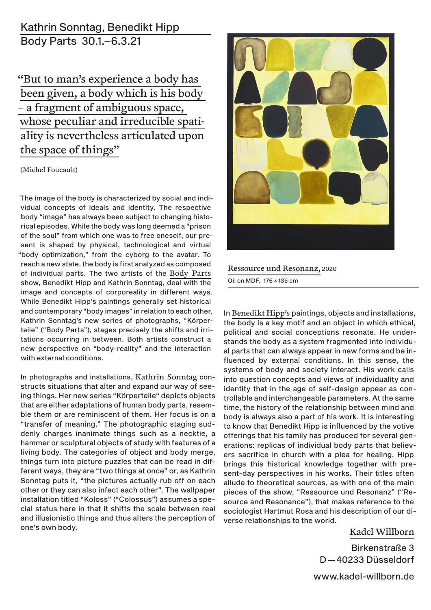## Kathrin Sonntag, Benedikt Hipp Body Parts 30.1.–6.3.21

"But to man's experience a body has been given, a body which is his body – a fragment of ambiguous space, whose peculiar and irreducible spatiality is nevertheless articulated upon the space of things"

#### (Michel Foucault)

The image of the body is characterized by social and individual concepts of ideals and identity. The respective body "image" has always been subject to changing historical episodes. While the body was long deemed a "prison of the soul" from which one was to free oneself, our present is shaped by physical, technological and virtual "body optimization," from the cyborg to the avatar. To reach a new state, the body is first analyzed as composed of individual parts. The two artists of the Body Parts show, Benedikt Hipp and Kathrin Sonntag, deal with the image and concepts of corporeality in different ways. While Benedikt Hipp's paintings generally set historical and contemporary "body images" in relation to each other, Kathrin Sonntag's new series of photographs, "Körperteile" ("Body Parts"), stages precisely the shifts and irritations occurring in between. Both artists construct a new perspective on "body-reality" and the interaction with external conditions.

In photographs and installations, Kathrin Sonntag constructs situations that alter and expand our way of seeing things. Her new series "Körperteile" depicts objects that are either adaptations of human body parts, resemble them or are reminiscent of them. Her focus is on a "transfer of meaning." The photographic staging suddenly charges inanimate things such as a necktie, a hammer or sculptural objects of study with features of a living body. The categories of object and body merge, things turn into picture puzzles that can be read in different ways, they are "two things at once" or, as Kathrin Sonntag puts it, "the pictures actually rub off on each other or they can also infect each other". The wallpaper installation titled "Koloss" ("Colossus") assumes a special status here in that it shifts the scale between real and illusionistic things and thus alters the perception of one's own body.



#### Ressource und Resonanz, 2020

Oil on MDF, 176 × 135 cm

In Benedikt Hipp's paintings, objects and installations, the body is a key motif and an object in which ethical, political and social conceptions resonate. He understands the body as a system fragmented into individual parts that can always appear in new forms and be influenced by external conditions. In this sense, the systems of body and society interact. His work calls into question concepts and views of individuality and identity that in the age of self-design appear as controllable and interchangeable parameters. At the same time, the history of the relationship between mind and body is always also a part of his work. It is interesting to know that Benedikt Hipp is influenced by the votive offerings that his family has produced for several generations: replicas of individual body parts that believers sacrifice in church with a plea for healing. Hipp brings this historical knowledge together with present-day perspectives in his works. Their titles often allude to theoretical sources, as with one of the main pieces of the show, "Ressource und Resonanz" ("Resource and Resonance"), that makes reference to the sociologist Hartmut Rosa and his description of our diverse relationships to the world.

### Kadel Willborn

Birkenstraße 3 D—40233 Düsseldorf

www.kadel-willborn.de